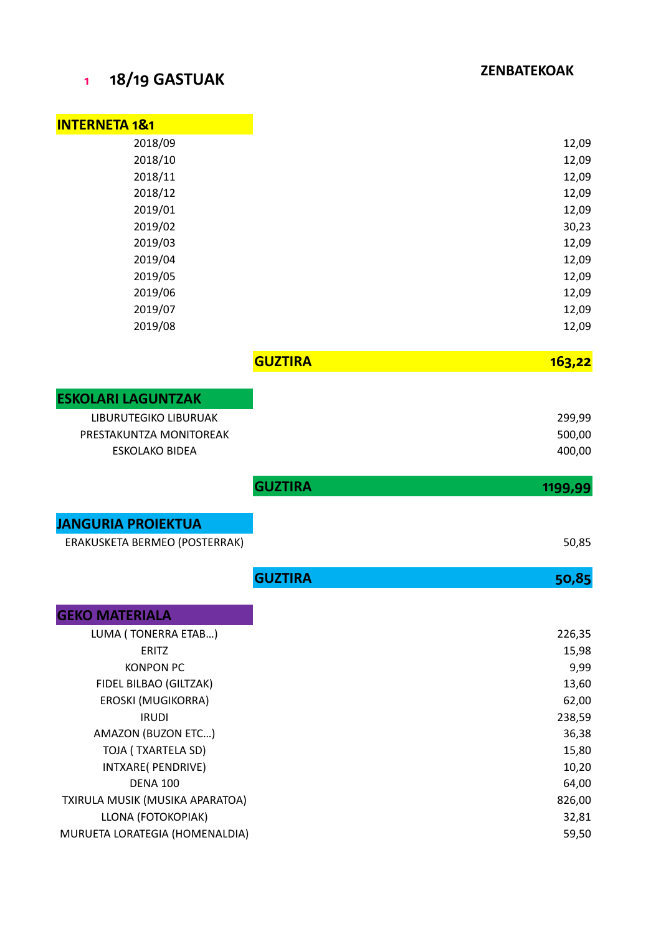## **1 18/19 GASTUAK**

| <b>INTERNETA 1&amp;1</b>                           |                |  |
|----------------------------------------------------|----------------|--|
| 2018/09                                            |                |  |
| 2018/10                                            |                |  |
| 2018/11                                            |                |  |
| 2018/12                                            |                |  |
| 2019/01                                            |                |  |
| 2019/02                                            |                |  |
| 2019/03                                            |                |  |
| 2019/04                                            |                |  |
| 2019/05                                            |                |  |
| 2019/06                                            |                |  |
| 2019/07                                            |                |  |
| 2019/08                                            |                |  |
|                                                    | <b>GUZTIRA</b> |  |
|                                                    |                |  |
| <b>ESKOLARI LAGUNTZAK</b><br>LIBURUTEGIKO LIBURUAK |                |  |
| PRESTAKUNTZA MONITOREAK                            |                |  |
| <b>ESKOLAKO BIDEA</b>                              |                |  |
|                                                    |                |  |
|                                                    | <b>GUZTIRA</b> |  |
| <b>JANGURIA PROIEKTUA</b>                          |                |  |
|                                                    |                |  |
| ERAKUSKETA BERMEO (POSTERRAK)                      |                |  |
|                                                    |                |  |
|                                                    | <b>GUZTIRA</b> |  |
|                                                    |                |  |
| LUMA (TONERRA ETAB)                                |                |  |
| ERITZ                                              |                |  |
| <b>KONPON PC</b>                                   |                |  |
| FIDEL BILBAO (GILTZAK)                             |                |  |
| EROSKI (MUGIKORRA)                                 |                |  |
| <b>IRUDI</b>                                       |                |  |
| AMAZON (BUZON ETC)                                 |                |  |
| TOJA (TXARTELA SD)                                 |                |  |
| INTXARE( PENDRIVE)                                 |                |  |
| <b>GEKO MATERIALA</b><br><b>DENA 100</b>           |                |  |
| TXIRULA MUSIK (MUSIKA APARATOA)                    |                |  |
| LLONA (FOTOKOPIAK)                                 |                |  |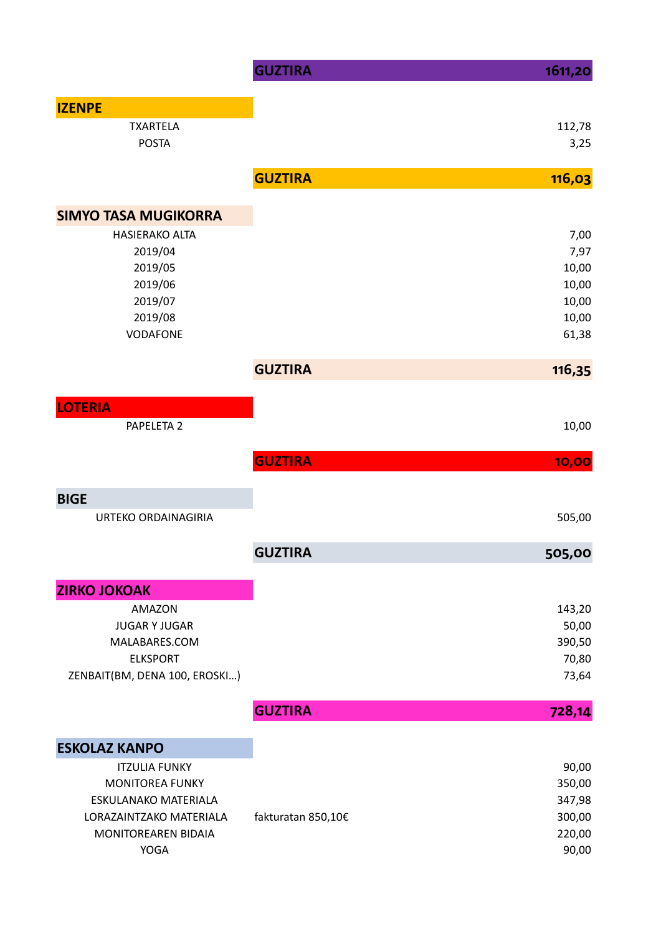|                               | <b>GUZTIRA</b>     | 1611,20 |
|-------------------------------|--------------------|---------|
| <b>IZENPE</b>                 |                    |         |
| <b>TXARTELA</b>               |                    | 112,78  |
| <b>POSTA</b>                  |                    | 3,25    |
|                               | <b>GUZTIRA</b>     | 116,03  |
| <b>SIMYO TASA MUGIKORRA</b>   |                    |         |
| <b>HASIERAKO ALTA</b>         |                    | 7,00    |
| 2019/04                       |                    | 7,97    |
| 2019/05                       |                    | 10,00   |
| 2019/06                       |                    | 10,00   |
| 2019/07                       |                    | 10,00   |
| 2019/08                       |                    | 10,00   |
| <b>VODAFONE</b>               |                    | 61,38   |
|                               | <b>GUZTIRA</b>     | 116,35  |
| <b>LOTERIA</b>                |                    |         |
| PAPELETA 2                    |                    | 10,00   |
|                               |                    |         |
|                               | <b>GUZTIRA</b>     | 10,00   |
| <b>BIGE</b>                   |                    |         |
| URTEKO ORDAINAGIRIA           |                    | 505,00  |
|                               | <b>GUZTIRA</b>     | 505,00  |
| <b>ZIRKO JOKOAK</b>           |                    |         |
| <b>AMAZON</b>                 |                    | 143,20  |
| <b>JUGAR Y JUGAR</b>          |                    | 50,00   |
| MALABARES.COM                 |                    | 390,50  |
| <b>ELKSPORT</b>               |                    | 70,80   |
| ZENBAIT(BM, DENA 100, EROSKI) |                    | 73,64   |
|                               | <b>GUZTIRA</b>     | 728,14  |
| <b>ESKOLAZ KANPO</b>          |                    |         |
| <b>ITZULIA FUNKY</b>          |                    | 90,00   |
| <b>MONITOREA FUNKY</b>        |                    | 350,00  |
| ESKULANAKO MATERIALA          |                    | 347,98  |
| LORAZAINTZAKO MATERIALA       | fakturatan 850,10€ | 300,00  |
| MONITOREAREN BIDAIA           |                    | 220,00  |
| <b>YOGA</b>                   |                    | 90,00   |